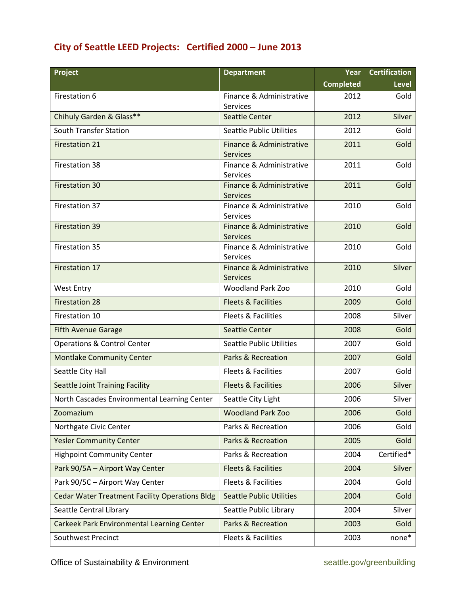## **City of Seattle LEED Projects: Certified 2000 – June 2013**

| Project                                               | <b>Department</b>                           | Year             | <b>Certification</b> |
|-------------------------------------------------------|---------------------------------------------|------------------|----------------------|
|                                                       |                                             | <b>Completed</b> | <b>Level</b>         |
| Firestation 6                                         | Finance & Administrative<br><b>Services</b> | 2012             | Gold                 |
| Chihuly Garden & Glass**                              | <b>Seattle Center</b>                       | 2012             | Silver               |
| South Transfer Station                                | <b>Seattle Public Utilities</b>             | 2012             | Gold                 |
| <b>Firestation 21</b>                                 | Finance & Administrative<br><b>Services</b> | 2011             | Gold                 |
| Firestation 38                                        | Finance & Administrative<br>Services        | 2011             | Gold                 |
| <b>Firestation 30</b>                                 | Finance & Administrative<br><b>Services</b> | 2011             | Gold                 |
| Firestation 37                                        | Finance & Administrative<br><b>Services</b> | 2010             | Gold                 |
| <b>Firestation 39</b>                                 | Finance & Administrative<br><b>Services</b> | 2010             | Gold                 |
| Firestation 35                                        | Finance & Administrative<br><b>Services</b> | 2010             | Gold                 |
| Firestation 17                                        | Finance & Administrative<br><b>Services</b> | 2010             | Silver               |
| <b>West Entry</b>                                     | <b>Woodland Park Zoo</b>                    | 2010             | Gold                 |
| <b>Firestation 28</b>                                 | <b>Fleets &amp; Facilities</b>              | 2009             | Gold                 |
| Firestation 10                                        | Fleets & Facilities                         | 2008             | Silver               |
| <b>Fifth Avenue Garage</b>                            | <b>Seattle Center</b>                       | 2008             | Gold                 |
| <b>Operations &amp; Control Center</b>                | <b>Seattle Public Utilities</b>             | 2007             | Gold                 |
| <b>Montlake Community Center</b>                      | <b>Parks &amp; Recreation</b>               | 2007             | Gold                 |
| Seattle City Hall                                     | Fleets & Facilities                         | 2007             | Gold                 |
| <b>Seattle Joint Training Facility</b>                | <b>Fleets &amp; Facilities</b>              | 2006             | Silver               |
| North Cascades Environmental Learning Center          | Seattle City Light                          | 2006             | Silver               |
| Zoomazium                                             | <b>Woodland Park Zoo</b>                    | 2006             | Gold                 |
| Northgate Civic Center                                | Parks & Recreation                          | 2006             | Gold                 |
| <b>Yesler Community Center</b>                        | <b>Parks &amp; Recreation</b>               | 2005             | Gold                 |
| <b>Highpoint Community Center</b>                     | Parks & Recreation                          | 2004             | Certified*           |
| Park 90/5A - Airport Way Center                       | <b>Fleets &amp; Facilities</b>              | 2004             | Silver               |
| Park 90/5C - Airport Way Center                       | <b>Fleets &amp; Facilities</b>              | 2004             | Gold                 |
| <b>Cedar Water Treatment Facility Operations Bldg</b> | <b>Seattle Public Utilities</b>             | 2004             | Gold                 |
| Seattle Central Library                               | Seattle Public Library                      | 2004             | Silver               |
| Carkeek Park Environmental Learning Center            | Parks & Recreation                          | 2003             | Gold                 |
| Southwest Precinct                                    | Fleets & Facilities                         | 2003             | none*                |